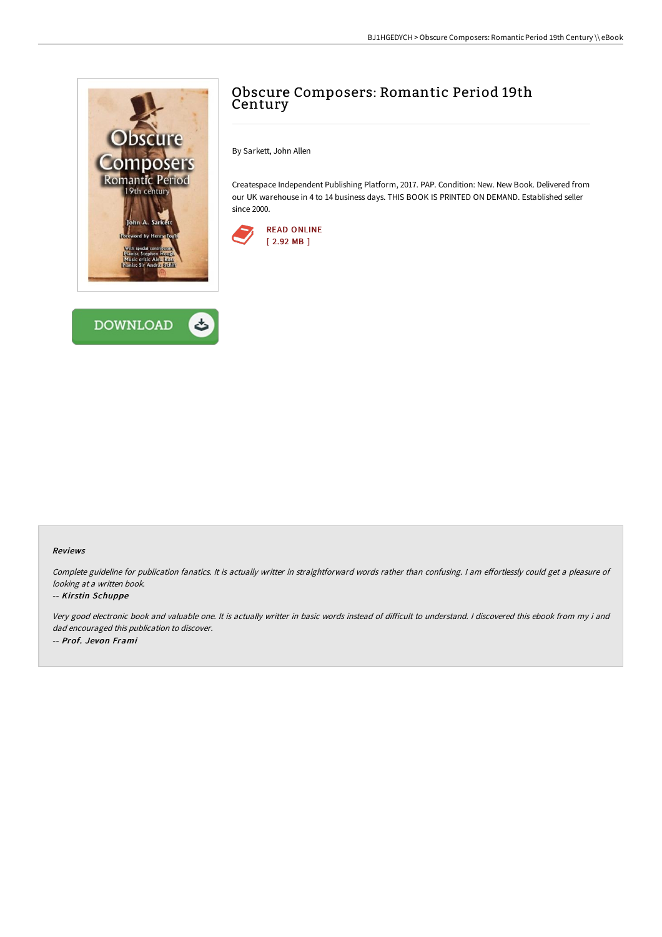



## Obscure Composers: Romantic Period 19th Century

By Sarkett, John Allen

Createspace Independent Publishing Platform, 2017. PAP. Condition: New. New Book. Delivered from our UK warehouse in 4 to 14 business days. THIS BOOK IS PRINTED ON DEMAND. Established seller since 2000.



## Reviews

Complete guideline for publication fanatics. It is actually writter in straightforward words rather than confusing. I am effortlessly could get a pleasure of looking at <sup>a</sup> written book.

## -- Kirstin Schuppe

Very good electronic book and valuable one. It is actually writter in basic words instead of difficult to understand. I discovered this ebook from my i and dad encouraged this publication to discover. -- Prof. Jevon Frami